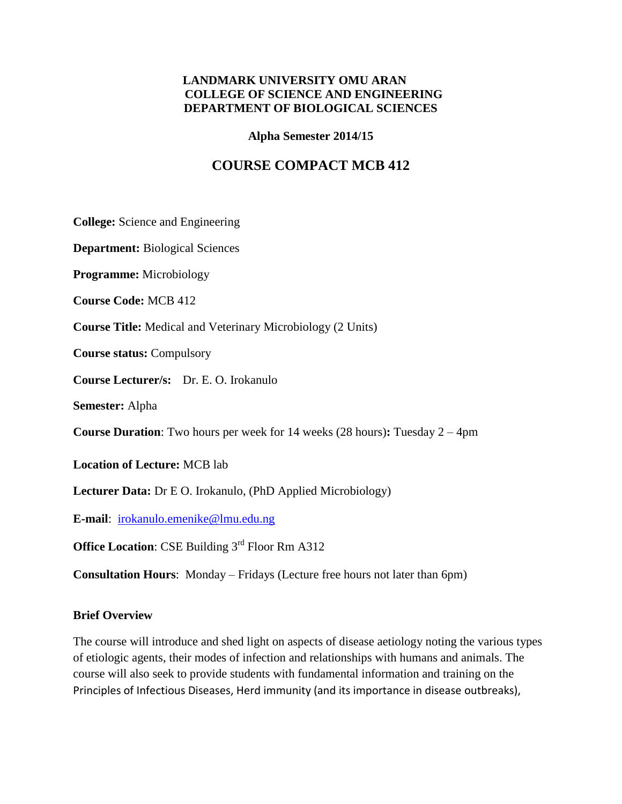### **LANDMARK UNIVERSITY OMU ARAN COLLEGE OF SCIENCE AND ENGINEERING DEPARTMENT OF BIOLOGICAL SCIENCES**

**Alpha Semester 2014/15**

# **COURSE COMPACT MCB 412**

**College:** Science and Engineering

**Department:** Biological Sciences

**Programme:** Microbiology

**Course Code:** MCB 412

**Course Title:** Medical and Veterinary Microbiology (2 Units)

**Course status:** Compulsory

**Course Lecturer/s:** Dr. E. O. Irokanulo

**Semester:** Alpha

**Course Duration**: Two hours per week for 14 weeks (28 hours)**:** Tuesday 2 – 4pm

**Location of Lecture:** MCB lab

**Lecturer Data:** Dr E O. Irokanulo, (PhD Applied Microbiology)

**E-mail**:[irokanulo.emenike@lmu.edu.ng](mailto:irokanulo.emenike@lmu.edu.ng)

**Office Location: CSE Building 3<sup>rd</sup> Floor Rm A312** 

**Consultation Hours**: Monday – Fridays (Lecture free hours not later than 6pm)

#### **Brief Overview**

The course will introduce and shed light on aspects of disease aetiology noting the various types of etiologic agents, their modes of infection and relationships with humans and animals. The course will also seek to provide students with fundamental information and training on the Principles of Infectious Diseases, Herd immunity (and its importance in disease outbreaks),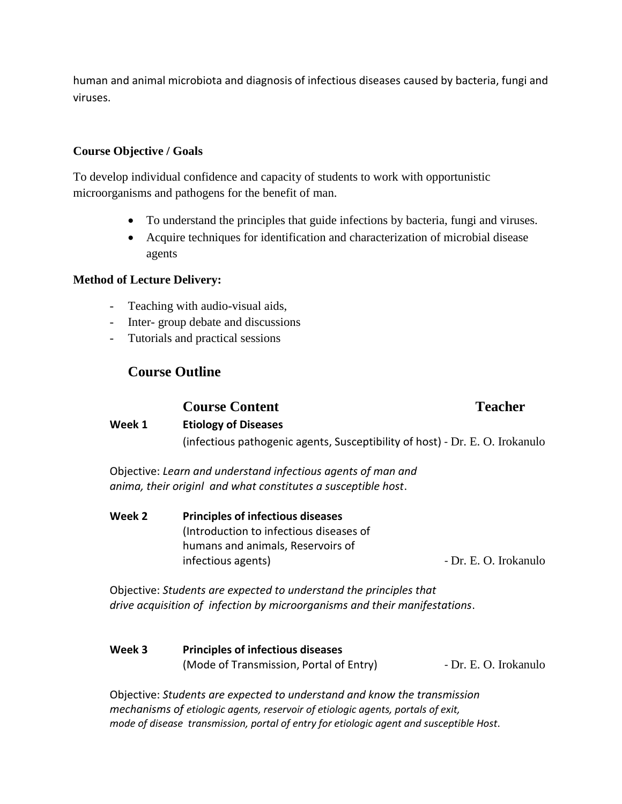human and animal microbiota and diagnosis of infectious diseases caused by bacteria, fungi and viruses.

### **Course Objective / Goals**

To develop individual confidence and capacity of students to work with opportunistic microorganisms and pathogens for the benefit of man.

- To understand the principles that guide infections by bacteria, fungi and viruses.
- Acquire techniques for identification and characterization of microbial disease agents

#### **Method of Lecture Delivery:**

- Teaching with audio-visual aids,
- Inter- group debate and discussions
- Tutorials and practical sessions

# **Course Outline**

# **Course Content Teacher**

# **Week 1 Etiology of Diseases** (infectious pathogenic agents, Susceptibility of host) - Dr. E. O. Irokanulo

Objective: *Learn and understand infectious agents of man and anima, their originl and what constitutes a susceptible host*.

**Week 2 Principles of infectious diseases** (Introduction to infectious diseases of humans and animals, Reservoirs of infectious agents)  $-$  Dr. E. O. Irokanulo

Objective: *Students are expected to understand the principles that drive acquisition of infection by microorganisms and their manifestations*.

**Week 3 Principles of infectious diseases** (Mode of Transmission, Portal of Entry) - Dr. E. O. Irokanulo

Objective: *Students are expected to understand and know the transmission mechanisms of etiologic agents, reservoir of etiologic agents, portals of exit, mode of disease transmission, portal of entry for etiologic agent and susceptible Host*.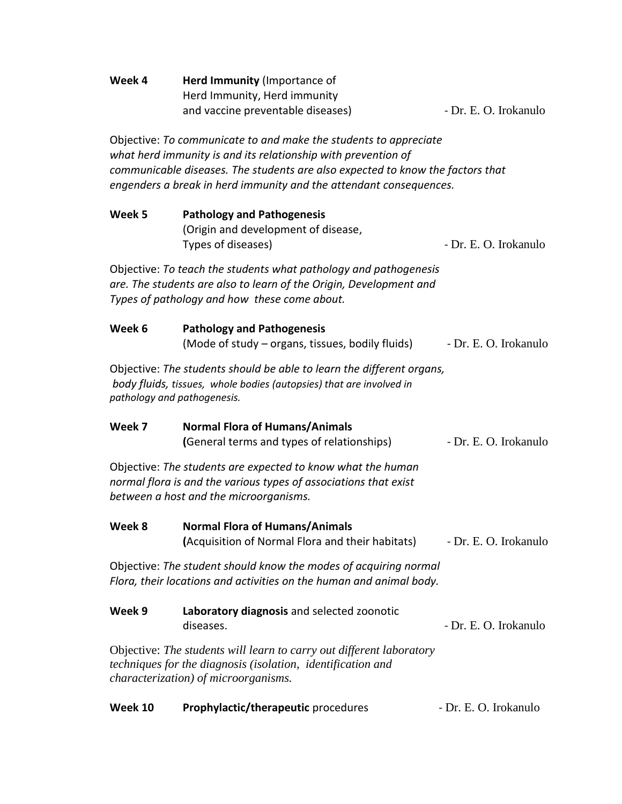| Week 4                                                                                                                                                                                                                                                                                    | Herd Immunity (Importance of<br>Herd Immunity, Herd immunity<br>and vaccine preventable diseases) | - Dr. E. O. Irokanulo |  |  |
|-------------------------------------------------------------------------------------------------------------------------------------------------------------------------------------------------------------------------------------------------------------------------------------------|---------------------------------------------------------------------------------------------------|-----------------------|--|--|
| Objective: To communicate to and make the students to appreciate<br>what herd immunity is and its relationship with prevention of<br>communicable diseases. The students are also expected to know the factors that<br>engenders a break in herd immunity and the attendant consequences. |                                                                                                   |                       |  |  |
| Week 5                                                                                                                                                                                                                                                                                    | <b>Pathology and Pathogenesis</b><br>(Origin and development of disease,<br>Types of diseases)    | - Dr. E. O. Irokanulo |  |  |
| Objective: To teach the students what pathology and pathogenesis<br>are. The students are also to learn of the Origin, Development and<br>Types of pathology and how these come about.                                                                                                    |                                                                                                   |                       |  |  |
| Week 6                                                                                                                                                                                                                                                                                    | <b>Pathology and Pathogenesis</b><br>(Mode of study – organs, tissues, bodily fluids)             | - Dr. E. O. Irokanulo |  |  |
| Objective: The students should be able to learn the different organs,<br>body fluids, tissues, whole bodies (autopsies) that are involved in<br>pathology and pathogenesis.                                                                                                               |                                                                                                   |                       |  |  |
| Week 7                                                                                                                                                                                                                                                                                    | <b>Normal Flora of Humans/Animals</b><br>(General terms and types of relationships)               | - Dr. E. O. Irokanulo |  |  |
| Objective: The students are expected to know what the human<br>normal flora is and the various types of associations that exist<br>between a host and the microorganisms.                                                                                                                 |                                                                                                   |                       |  |  |
| Week 8                                                                                                                                                                                                                                                                                    | <b>Normal Flora of Humans/Animals</b><br>(Acquisition of Normal Flora and their habitats)         | - Dr. E. O. Irokanulo |  |  |
| Objective: The student should know the modes of acquiring normal<br>Flora, their locations and activities on the human and animal body.                                                                                                                                                   |                                                                                                   |                       |  |  |
| Week 9                                                                                                                                                                                                                                                                                    | Laboratory diagnosis and selected zoonotic<br>diseases.                                           | - Dr. E. O. Irokanulo |  |  |
| Objective: The students will learn to carry out different laboratory<br>techniques for the diagnosis (isolation, identification and<br>characterization) of microorganisms.                                                                                                               |                                                                                                   |                       |  |  |

| Week 10 | <b>Prophylactic/therapeutic</b> procedures | - Dr. E. O. Irokanulo |
|---------|--------------------------------------------|-----------------------|
|---------|--------------------------------------------|-----------------------|